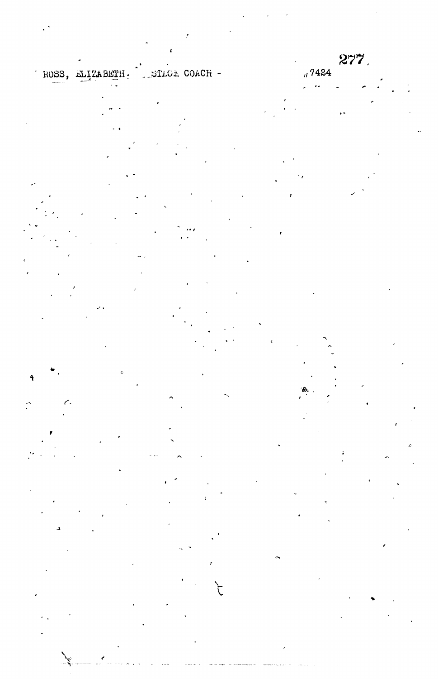ROSS, ELIZABETH. STRGE COACH -

 $\mathbb{R}$ ç,

 $277.$  $_4$  7424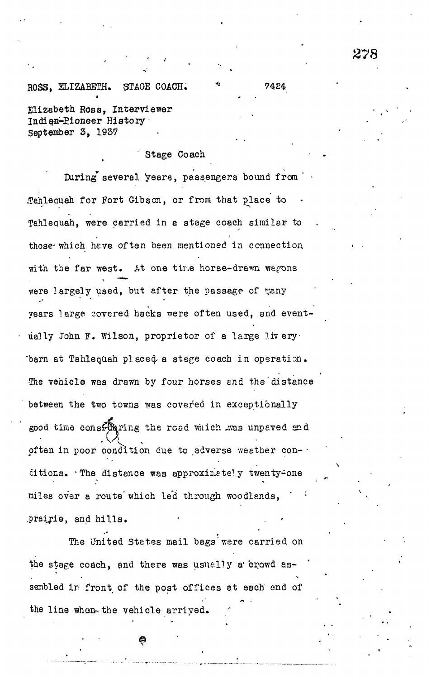## £78

## ROSS, ELIZABETH. STAGE COACH. \* 7424

Elizabeth Ross, Interviewer Indian-Pioneer History September 3, 1937

## Stage Coach

During several years, passengers bound from .Tahleouah for Fort Gibson, or from that place to Tahlequah, were carried in e stage coach similar to those-which heve. often been mentioned in connection, with the far west. At one tire horse-drawn wagons were largely used, but after the passage of many years large covered hacks were often used, and eventually John F. Wilson, proprietor of a large livery. 'barn at Tahlequah placed^ a stege coach in operation. The vehicle was drawn by four horses and the distance between the two towns was covered in exceptionally good time consfuring the road which was unpeved and often in poor condition due to adverse weather concitions. The distance was approximate!y twenty=one miles over a route which led through woodlands, .prairie, and hills.

The United States mail bags'were carried on the stage coach, and there was usually a crowd assenbled in front of the post offices at each end of the line whon-the vehicle arriyed.

**• • ©**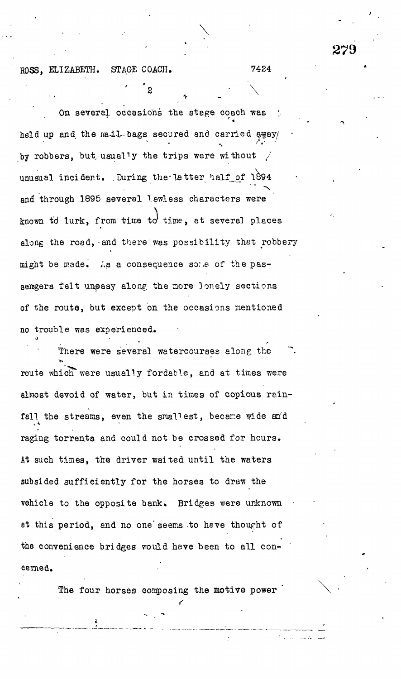ROSS, ELIZABETH. STAGE COACH. 7424

On severel occasions the stage coach was  $\bullet$  .  $\bullet$  .  $\bullet$  .  $\bullet$  .  $\bullet$  .  $\bullet$  .  $\bullet$ held up and the mail bags secured and carried away/ **/ V •** by robbers, but usually the trips were without  $\mathbf{y} = \mathbf{y}$  the trips were without  $\mathbf{y} = \mathbf{y}$ unusual incident. .During the-latte r half\_of 1B94 and the set of  $\mathcal{O}$  several lawless characters were set of  $\mathcal{O}$ known time, from time, from time, at several places at several places  $\mathcal{L}$ along the road, and there was possibility that robbery  $\mathcal{L}$  as a consequence so: sengers felt unpasy along the more lonely sections of the route, but except on the occasions mentioned no trouble was experienced.

 $\bullet$  •  $\bullet$  •  $\bullet$  •  $\bullet$  •  $\bullet$  •  $\bullet$  •  $\bullet$  •  $\bullet$  •  $\bullet$  •  $\bullet$  •  $\bullet$  •  $\bullet$  •  $\bullet$  •  $\bullet$  •  $\bullet$  •  $\bullet$  •  $\bullet$  •  $\bullet$  •  $\bullet$  •  $\bullet$  •  $\bullet$  •  $\bullet$  •  $\bullet$  •  $\bullet$  •  $\bullet$  •  $\bullet$  •  $\bullet$  •  $\bullet$  •  $\bullet$  •  $\bullet$  •  $\bullet$  •  $\bullet$ 

 $\overline{2}$ 

There were several watercourses along the route which were usually fordable, and at times were almost devoid of water, but in times of copious rainfall the streams, even the smallest, became wide and raging torrents and could not be crossed for hours. At such times, the driver waited until the waters subsided sufficiently for the horses to draw the vehicle to the opposite bank. Bridges were unknown at this period, and no one"seems to have thought of the convenience bridges vould have been to all con-

The four horses composing the motive power  $\cdot$ 

.<br>Certain de